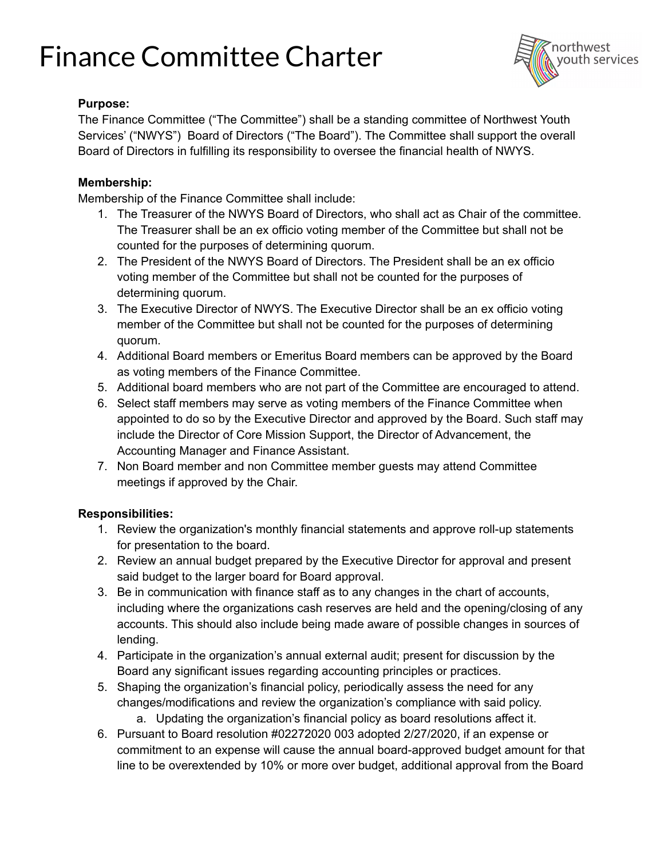# Finance Committee Charter



### **Purpose:**

The Finance Committee ("The Committee") shall be a standing committee of Northwest Youth Services' ("NWYS") Board of Directors ("The Board"). The Committee shall support the overall Board of Directors in fulfilling its responsibility to oversee the financial health of NWYS.

#### **Membership:**

Membership of the Finance Committee shall include:

- 1. The Treasurer of the NWYS Board of Directors, who shall act as Chair of the committee. The Treasurer shall be an ex officio voting member of the Committee but shall not be counted for the purposes of determining quorum.
- 2. The President of the NWYS Board of Directors. The President shall be an ex officio voting member of the Committee but shall not be counted for the purposes of determining quorum.
- 3. The Executive Director of NWYS. The Executive Director shall be an ex officio voting member of the Committee but shall not be counted for the purposes of determining quorum.
- 4. Additional Board members or Emeritus Board members can be approved by the Board as voting members of the Finance Committee.
- 5. Additional board members who are not part of the Committee are encouraged to attend.
- 6. Select staff members may serve as voting members of the Finance Committee when appointed to do so by the Executive Director and approved by the Board. Such staff may include the Director of Core Mission Support, the Director of Advancement, the Accounting Manager and Finance Assistant.
- 7. Non Board member and non Committee member guests may attend Committee meetings if approved by the Chair.

### **Responsibilities:**

- 1. Review the organization's monthly financial statements and approve roll-up statements for presentation to the board.
- 2. Review an annual budget prepared by the Executive Director for approval and present said budget to the larger board for Board approval.
- 3. Be in communication with finance staff as to any changes in the chart of accounts, including where the organizations cash reserves are held and the opening/closing of any accounts. This should also include being made aware of possible changes in sources of lending.
- 4. Participate in the organization's annual external audit; present for discussion by the Board any significant issues regarding accounting principles or practices.
- 5. Shaping the organization's financial policy, periodically assess the need for any changes/modifications and review the organization's compliance with said policy.
	- a. Updating the organization's financial policy as board resolutions affect it.
- 6. Pursuant to Board resolution #02272020 003 adopted 2/27/2020, if an expense or commitment to an expense will cause the annual board-approved budget amount for that line to be overextended by 10% or more over budget, additional approval from the Board